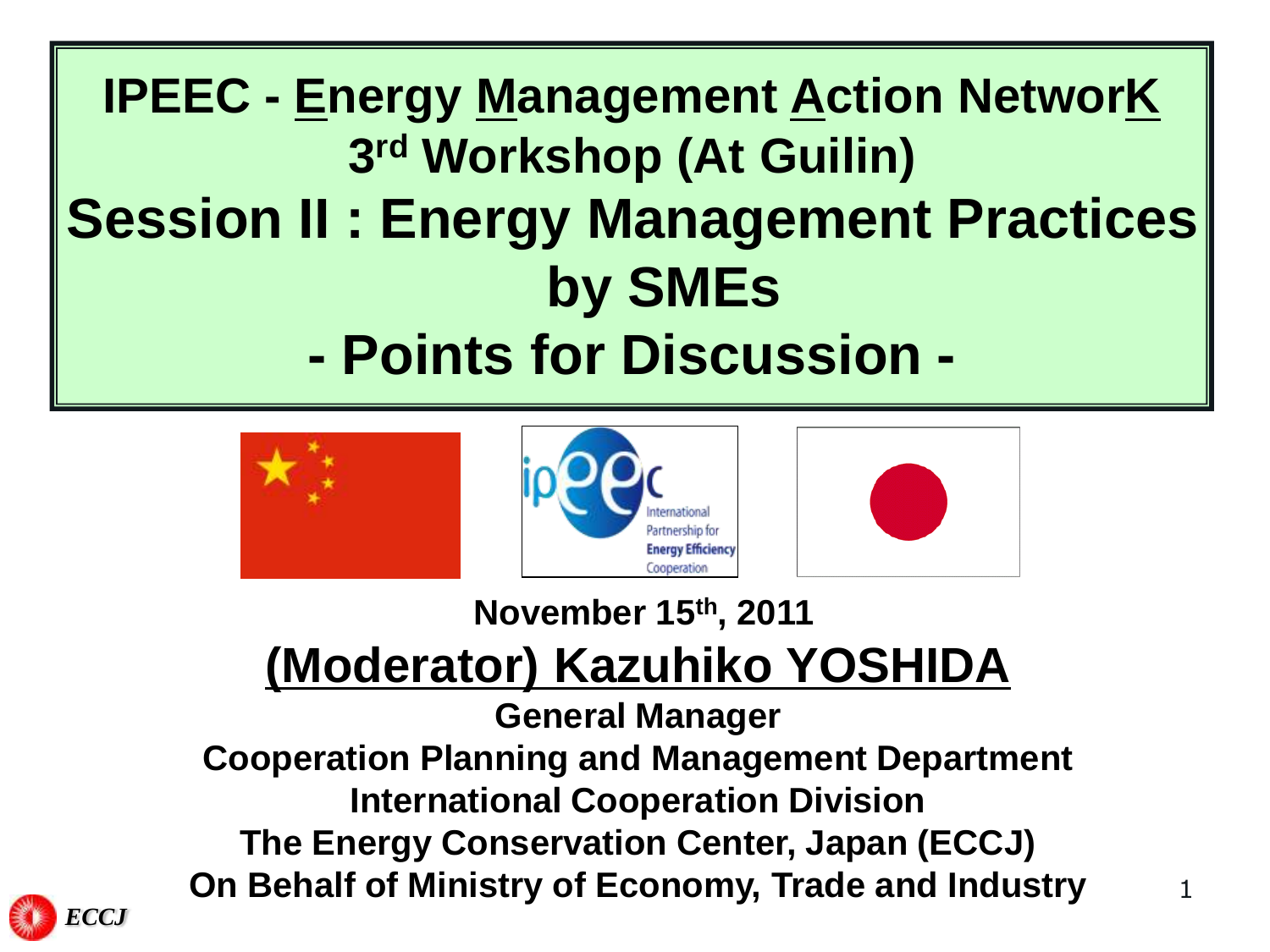# **IPEEC - Energy Management Action NetworK 3 rd Workshop (At Guilin) Session II : Energy Management Practices by SMEs - Points for Discussion -**







**November 15th, 2011**

## **(Moderator) Kazuhiko YOSHIDA**

**General Manager**

**Cooperation Planning and Management Department International Cooperation Division The Energy Conservation Center, Japan (ECCJ) On Behalf of Ministry of Economy, Trade and Industry**

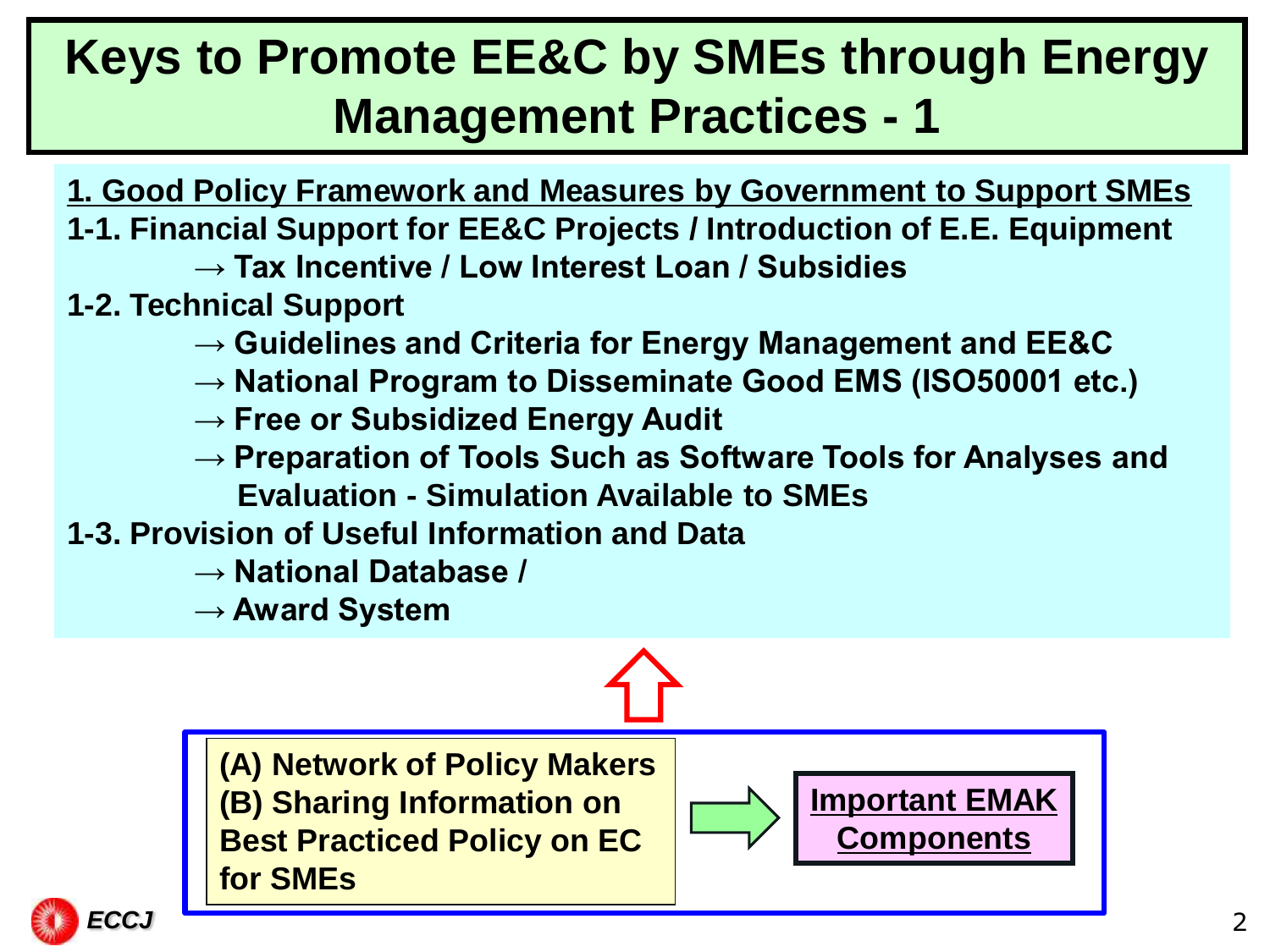## **Keys to Promote EE&C by SMEs through Energy Management Practices - 1**

- **1. Good Policy Framework and Measures by Government to Support SMEs**
- **1-1. Financial Support for EE&C Projects / Introduction of E.E. Equipment**
	- **→ Tax Incentive / Low Interest Loan / Subsidies**
- **1-2. Technical Support**
	- **→ Guidelines and Criteria for Energy Management and EE&C**
	- **→ National Program to Disseminate Good EMS (ISO50001 etc.)**
	- → Free or Subsidized Energy Audit
	- **→ Preparation of Tools Such as Software Tools for Analyses and Evaluation - Simulation Available to SMEs**
- **1-3. Provision of Useful Information and Data**
	- **→ National Database /**
	- **→ Award System**

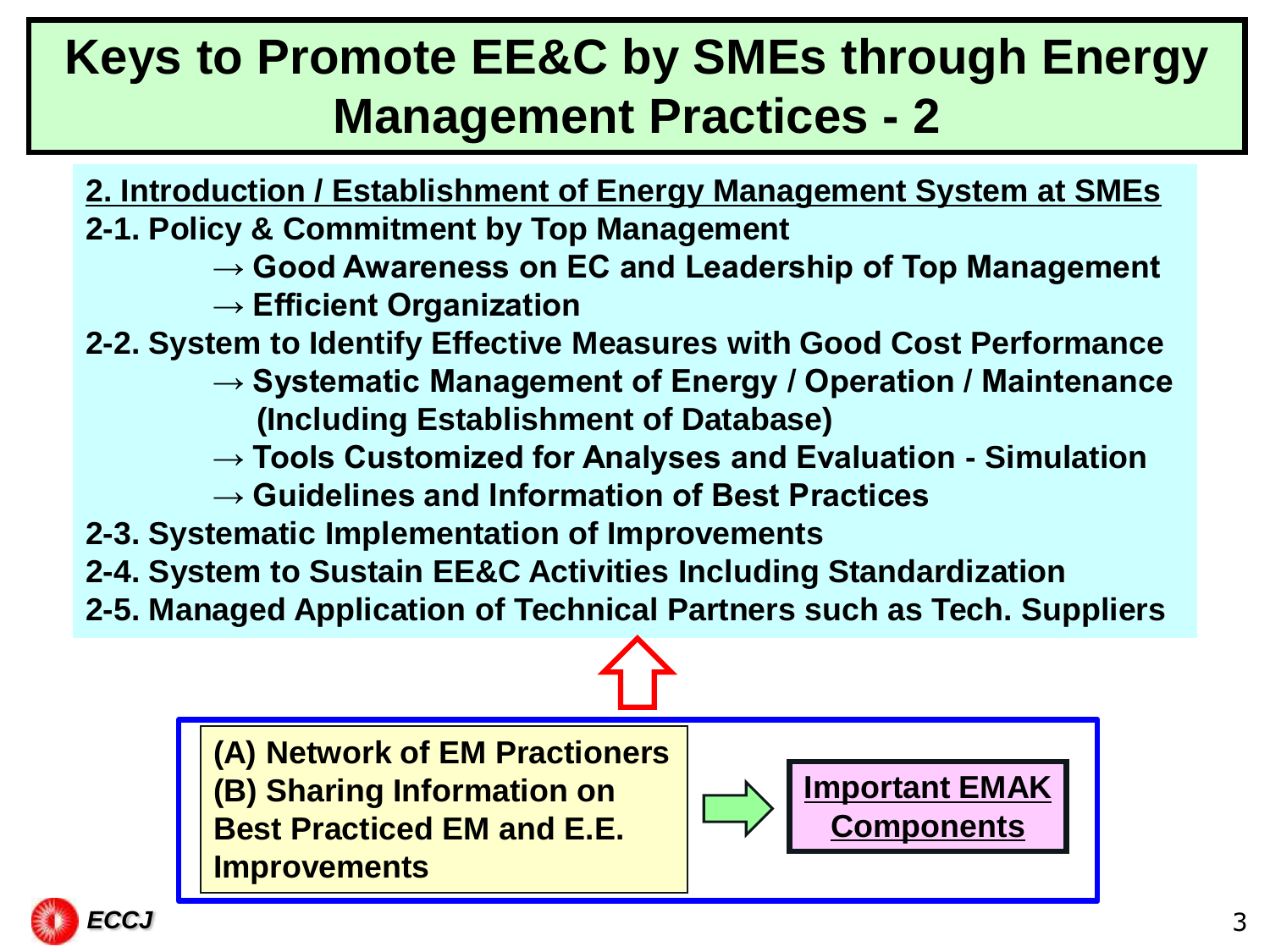## **Keys to Promote EE&C by SMEs through Energy Management Practices - 2**

**2. Introduction / Establishment of Energy Management System at SMEs**

- **2-1. Policy & Commitment by Top Management**
	- → Good Awareness on EC and Leadership of Top Management
	- **→ Efficient Organization**
- **2-2. System to Identify Effective Measures with Good Cost Performance** 
	- **→ Systematic Management of Energy / Operation / Maintenance (Including Establishment of Database)**
	- **→ Tools Customized for Analyses and Evaluation - Simulation**
	- **→ Guidelines and Information of Best Practices**
- **2-3. Systematic Implementation of Improvements**
- **2-4. System to Sustain EE&C Activities Including Standardization**
- **2-5. Managed Application of Technical Partners such as Tech. Suppliers**



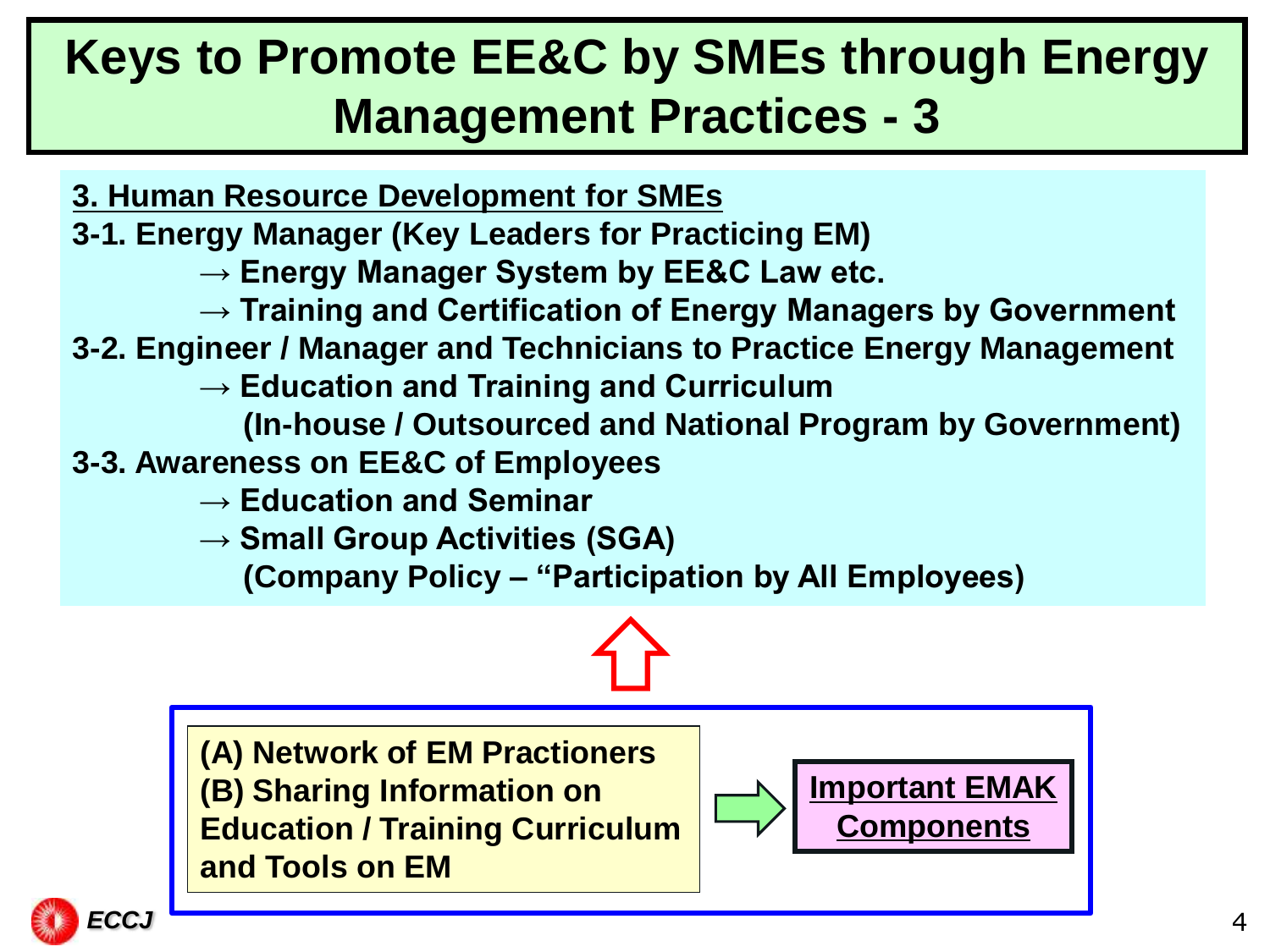#### **Keys to Promote EE&C by SMEs through Energy Management Practices - 3**

- **3. Human Resource Development for SMEs**
- **3-1. Energy Manager (Key Leaders for Practicing EM)**
	- → Energy Manager System by EE&C Law etc.
	- **→ Training and Certification of Energy Managers by Government**
- **3-2. Engineer / Manager and Technicians to Practice Energy Management**
	- **→ Education and Training and Curriculum** 
		- **(In-house / Outsourced and National Program by Government)**
- **3-3. Awareness on EE&C of Employees**
	- **→ Education and Seminar**
	- **→ Small Group Activities (SGA)**

 **(Company Policy – "Participation by All Employees)**